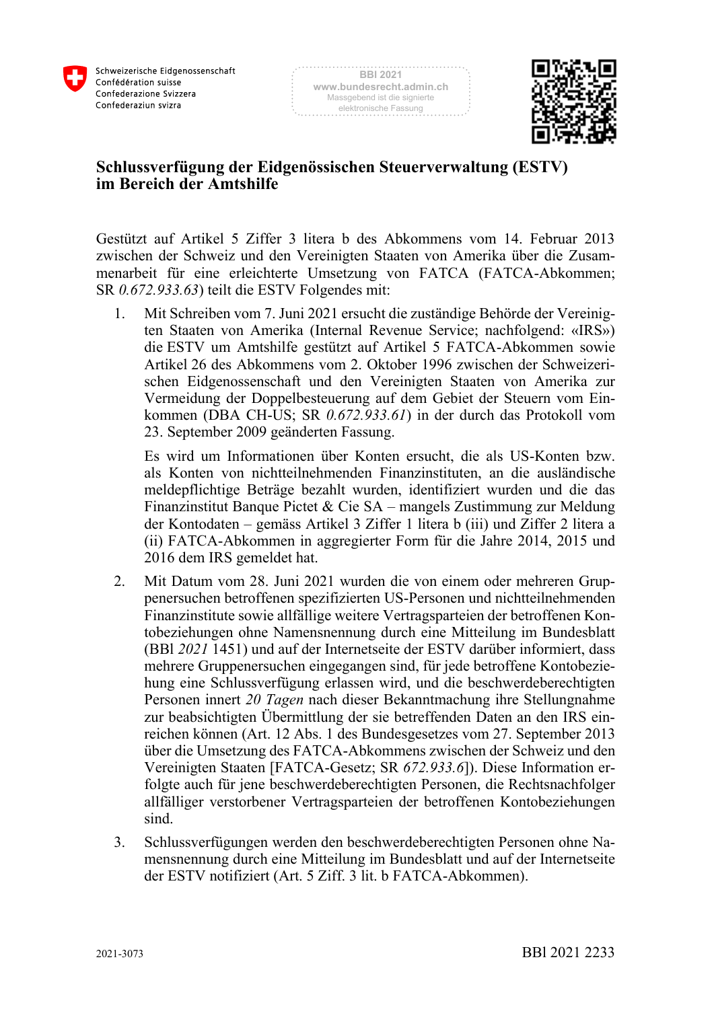



## **Schlussverfügung der Eidgenössischen Steuerverwaltung (ESTV) im Bereich der Amtshilfe**

Gestützt auf Artikel 5 Ziffer 3 litera b des Abkommens vom 14. Februar 2013 zwischen der Schweiz und den Vereinigten Staaten von Amerika über die Zusammenarbeit für eine erleichterte Umsetzung von FATCA (FATCA-Abkommen; SR *0.672.933.63*) teilt die ESTV Folgendes mit:

1. Mit Schreiben vom 7. Juni 2021 ersucht die zuständige Behörde der Vereinigten Staaten von Amerika (Internal Revenue Service; nachfolgend: «IRS») die ESTV um Amtshilfe gestützt auf Artikel 5 FATCA-Abkommen sowie Artikel 26 des Abkommens vom 2. Oktober 1996 zwischen der Schweizerischen Eidgenossenschaft und den Vereinigten Staaten von Amerika zur Vermeidung der Doppelbesteuerung auf dem Gebiet der Steuern vom Einkommen (DBA CH-US; SR *0.672.933.61*) in der durch das Protokoll vom 23. September 2009 geänderten Fassung.

Es wird um Informationen über Konten ersucht, die als US-Konten bzw. als Konten von nichtteilnehmenden Finanzinstituten, an die ausländische meldepflichtige Beträge bezahlt wurden, identifiziert wurden und die das Finanzinstitut Banque Pictet & Cie SA – mangels Zustimmung zur Meldung der Kontodaten – gemäss Artikel 3 Ziffer 1 litera b (iii) und Ziffer 2 litera a (ii) FATCA-Abkommen in aggregierter Form für die Jahre 2014, 2015 und 2016 dem IRS gemeldet hat.

- 2. Mit Datum vom 28. Juni 2021 wurden die von einem oder mehreren Gruppenersuchen betroffenen spezifizierten US-Personen und nichtteilnehmenden Finanzinstitute sowie allfällige weitere Vertragsparteien der betroffenen Kontobeziehungen ohne Namensnennung durch eine Mitteilung im Bundesblatt (BBl *2021* 1451) und auf der Internetseite der ESTV darüber informiert, dass mehrere Gruppenersuchen eingegangen sind, für jede betroffene Kontobeziehung eine Schlussverfügung erlassen wird, und die beschwerdeberechtigten Personen innert *20 Tagen* nach dieser Bekanntmachung ihre Stellungnahme zur beabsichtigten Übermittlung der sie betreffenden Daten an den IRS einreichen können (Art. 12 Abs. 1 des Bundesgesetzes vom 27. September 2013 über die Umsetzung des FATCA-Abkommens zwischen der Schweiz und den Vereinigten Staaten [FATCA-Gesetz; SR *672.933.6*]). Diese Information erfolgte auch für jene beschwerdeberechtigten Personen, die Rechtsnachfolger allfälliger verstorbener Vertragsparteien der betroffenen Kontobeziehungen sind.
- 3. Schlussverfügungen werden den beschwerdeberechtigten Personen ohne Namensnennung durch eine Mitteilung im Bundesblatt und auf der Internetseite der ESTV notifiziert (Art. 5 Ziff. 3 lit. b FATCA-Abkommen).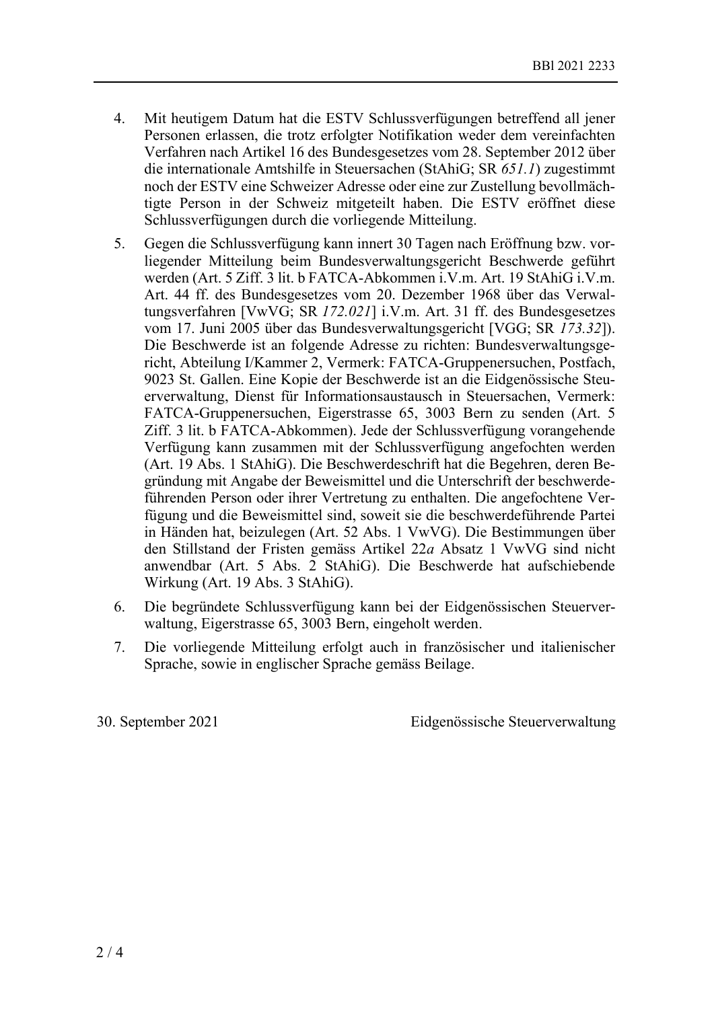- 4. Mit heutigem Datum hat die ESTV Schlussverfügungen betreffend all jener Personen erlassen, die trotz erfolgter Notifikation weder dem vereinfachten Verfahren nach Artikel 16 des Bundesgesetzes vom 28. September 2012 über die internationale Amtshilfe in Steuersachen (StAhiG; SR *651.1*) zugestimmt noch der ESTV eine Schweizer Adresse oder eine zur Zustellung bevollmächtigte Person in der Schweiz mitgeteilt haben. Die ESTV eröffnet diese Schlussverfügungen durch die vorliegende Mitteilung.
- 5. Gegen die Schlussverfügung kann innert 30 Tagen nach Eröffnung bzw. vorliegender Mitteilung beim Bundesverwaltungsgericht Beschwerde geführt werden (Art. 5 Ziff. 3 lit. b FATCA-Abkommen i.V.m. Art. 19 StAhiG i.V.m. Art. 44 ff. des Bundesgesetzes vom 20. Dezember 1968 über das Verwaltungsverfahren [VwVG; SR *172.021*] i.V.m. Art. 31 ff. des Bundesgesetzes vom 17. Juni 2005 über das Bundesverwaltungsgericht [VGG; SR *173.32*]). Die Beschwerde ist an folgende Adresse zu richten: Bundesverwaltungsgericht, Abteilung I/Kammer 2, Vermerk: FATCA-Gruppenersuchen, Postfach, 9023 St. Gallen. Eine Kopie der Beschwerde ist an die Eidgenössische Steuerverwaltung, Dienst für Informationsaustausch in Steuersachen, Vermerk: FATCA-Gruppenersuchen, Eigerstrasse 65, 3003 Bern zu senden (Art. 5 Ziff. 3 lit. b FATCA-Abkommen). Jede der Schlussverfügung vorangehende Verfügung kann zusammen mit der Schlussverfügung angefochten werden (Art. 19 Abs. 1 StAhiG). Die Beschwerdeschrift hat die Begehren, deren Begründung mit Angabe der Beweismittel und die Unterschrift der beschwerdeführenden Person oder ihrer Vertretung zu enthalten. Die angefochtene Verfügung und die Beweismittel sind, soweit sie die beschwerdeführende Partei in Händen hat, beizulegen (Art. 52 Abs. 1 VwVG). Die Bestimmungen über den Stillstand der Fristen gemäss Artikel 22*a* Absatz 1 VwVG sind nicht anwendbar (Art. 5 Abs. 2 StAhiG). Die Beschwerde hat aufschiebende Wirkung (Art. 19 Abs. 3 StAhiG).
- 6. Die begründete Schlussverfügung kann bei der Eidgenössischen Steuerverwaltung, Eigerstrasse 65, 3003 Bern, eingeholt werden.
- 7. Die vorliegende Mitteilung erfolgt auch in französischer und italienischer Sprache, sowie in englischer Sprache gemäss Beilage.

30. September 2021 Eidgenössische Steuerverwaltung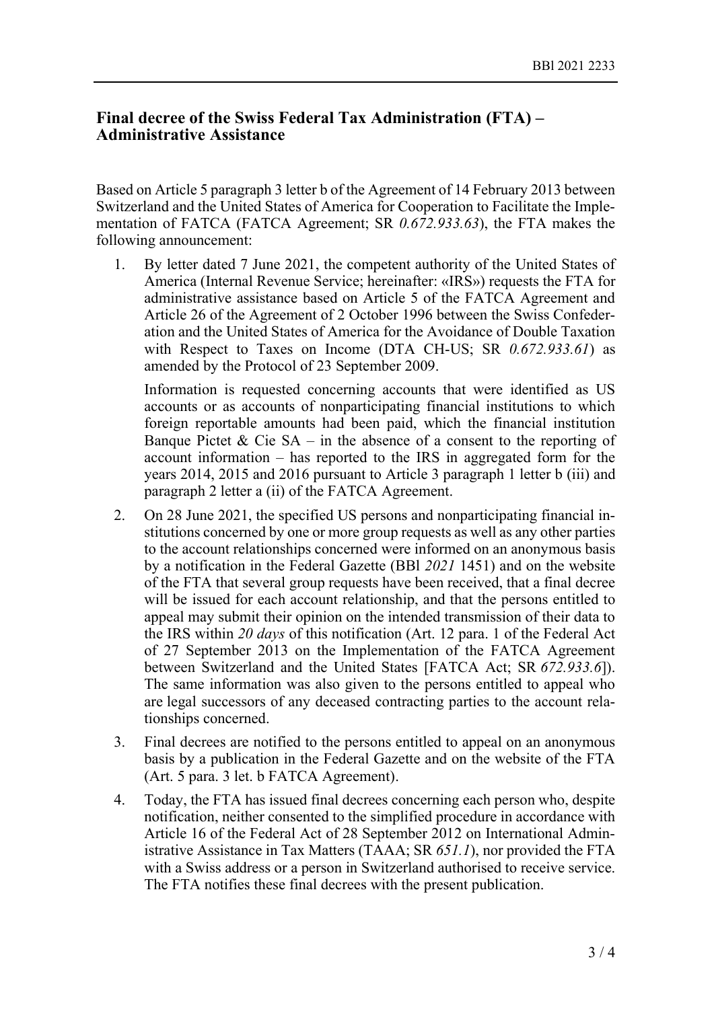## **Final decree of the Swiss Federal Tax Administration (FTA) – Administrative Assistance**

Based on Article 5 paragraph 3 letter b of the Agreement of 14 February 2013 between Switzerland and the United States of America for Cooperation to Facilitate the Implementation of FATCA (FATCA Agreement; SR *0.672.933.63*), the FTA makes the following announcement:

1. By letter dated 7 June 2021, the competent authority of the United States of America (Internal Revenue Service; hereinafter: «IRS») requests the FTA for administrative assistance based on Article 5 of the FATCA Agreement and Article 26 of the Agreement of 2 October 1996 between the Swiss Confederation and the United States of America for the Avoidance of Double Taxation with Respect to Taxes on Income (DTA CH-US; SR *0.672.933.61*) as amended by the Protocol of 23 September 2009.

Information is requested concerning accounts that were identified as US accounts or as accounts of nonparticipating financial institutions to which foreign reportable amounts had been paid, which the financial institution Banque Pictet & Cie SA – in the absence of a consent to the reporting of account information – has reported to the IRS in aggregated form for the years 2014, 2015 and 2016 pursuant to Article 3 paragraph 1 letter b (iii) and paragraph 2 letter a (ii) of the FATCA Agreement.

- 2. On 28 June 2021, the specified US persons and nonparticipating financial institutions concerned by one or more group requests as well as any other parties to the account relationships concerned were informed on an anonymous basis by a notification in the Federal Gazette (BBl *2021* 1451) and on the website of the FTA that several group requests have been received, that a final decree will be issued for each account relationship, and that the persons entitled to appeal may submit their opinion on the intended transmission of their data to the IRS within *20 days* of this notification (Art. 12 para. 1 of the Federal Act of 27 September 2013 on the Implementation of the FATCA Agreement between Switzerland and the United States [FATCA Act; SR *672.933.6*]). The same information was also given to the persons entitled to appeal who are legal successors of any deceased contracting parties to the account relationships concerned.
- 3. Final decrees are notified to the persons entitled to appeal on an anonymous basis by a publication in the Federal Gazette and on the website of the FTA (Art. 5 para. 3 let. b FATCA Agreement).
- 4. Today, the FTA has issued final decrees concerning each person who, despite notification, neither consented to the simplified procedure in accordance with Article 16 of the Federal Act of 28 September 2012 on International Administrative Assistance in Tax Matters (TAAA; SR *651.1*), nor provided the FTA with a Swiss address or a person in Switzerland authorised to receive service. The FTA notifies these final decrees with the present publication.